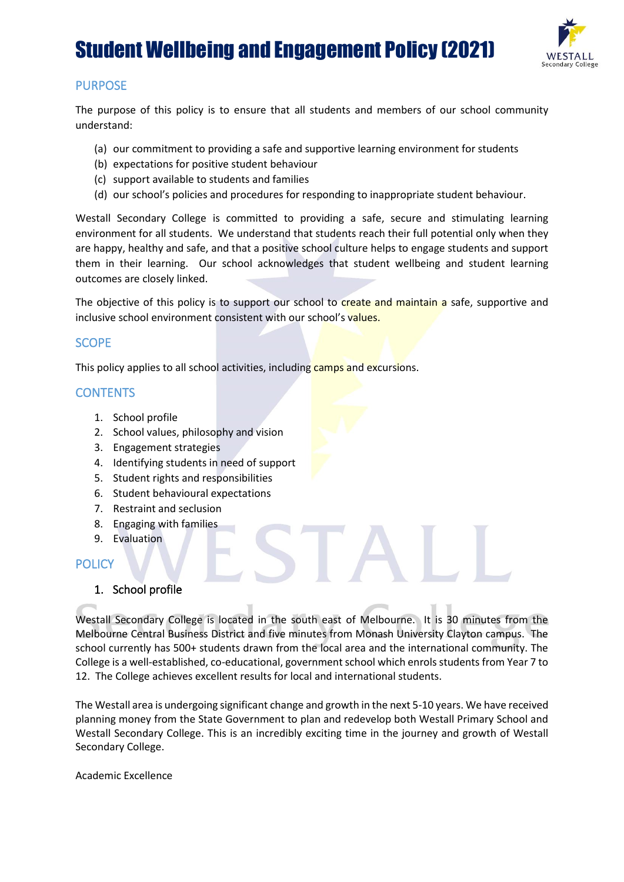

## PURPOSE

The purpose of this policy is to ensure that all students and members of our school community understand:

- (a) our commitment to providing a safe and supportive learning environment for students
- (b) expectations for positive student behaviour
- (c) support available to students and families
- (d) our school's policies and procedures for responding to inappropriate student behaviour.

Westall Secondary College is committed to providing a safe, secure and stimulating learning environment for all students. We understand that students reach their full potential only when they are happy, healthy and safe, and that a positive school culture helps to engage students and support them in their learning. Our school acknowledges that student wellbeing and student learning outcomes are closely linked.

The objective of this policy is to support our school to create and maintain a safe, supportive and inclusive school environment consistent with our school's values.

## **SCOPE**

This policy applies to all school activities, including camps and excursions.

### **CONTENTS**

- 1. School profile
- 2. School values, philosophy and vision
- 3. Engagement strategies
- 4. Identifying students in need of support
- 5. Student rights and responsibilities
- 6. Student behavioural expectations
- 7. Restraint and seclusion
- 8. Engaging with families
- 9. Evaluation

## **POLICY**

#### 1. School profile

Westall Secondary College is located in the south east of Melbourne. It is 30 minutes from the Melbourne Central Business District and five minutes from Monash University Clayton campus. The school currently has 500+ students drawn from the local area and the international community. The College is a well-established, co-educational, government school which enrols students from Year 7 to 12. The College achieves excellent results for local and international students.

The Westall area is undergoing significant change and growth in the next 5-10 years. We have received planning money from the State Government to plan and redevelop both Westall Primary School and Westall Secondary College. This is an incredibly exciting time in the journey and growth of Westall Secondary College.

Academic Excellence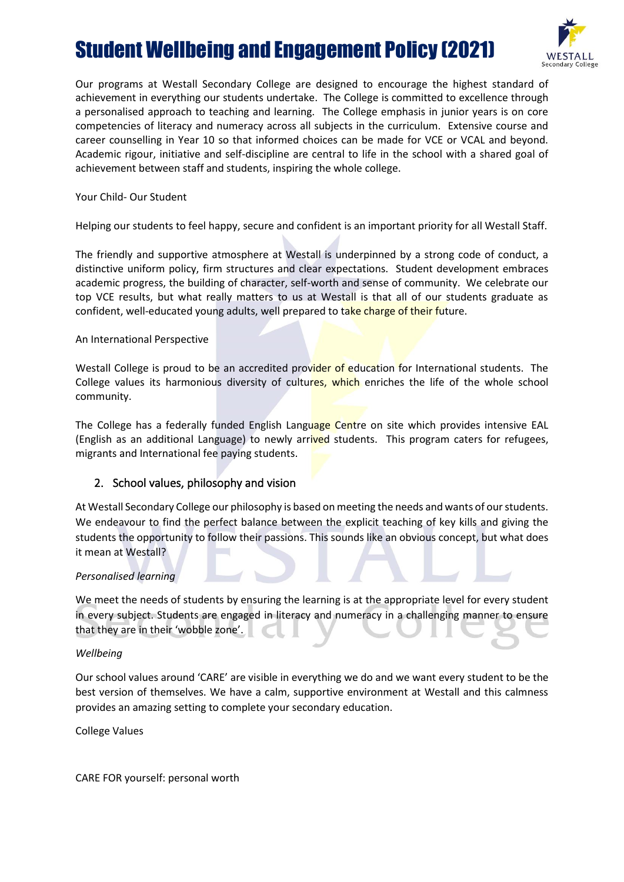

Our programs at Westall Secondary College are designed to encourage the highest standard of achievement in everything our students undertake. The College is committed to excellence through a personalised approach to teaching and learning. The College emphasis in junior years is on core competencies of literacy and numeracy across all subjects in the curriculum. Extensive course and career counselling in Year 10 so that informed choices can be made for VCE or VCAL and beyond. Academic rigour, initiative and self-discipline are central to life in the school with a shared goal of achievement between staff and students, inspiring the whole college.

#### Your Child- Our Student

Helping our students to feel happy, secure and confident is an important priority for all Westall Staff.

The friendly and supportive atmosphere at Westall is underpinned by a strong code of conduct, a distinctive uniform policy, firm structures and clear expectations. Student development embraces academic progress, the building of character, self-worth and sense of community. We celebrate our top VCE results, but what really matters to us at Westall is that all of our students graduate as confident, well-educated young adults, well prepared to take charge of their future.

#### An International Perspective

Westall College is proud to be an accredited provider of education for International students. The College values its harmonious diversity of cultures, which enriches the life of the whole school community.

The College has a federally funded English Language Centre on site which provides intensive EAL (English as an additional Language) to newly arrived students. This program caters for refugees, migrants and International fee paying students.

#### 2. School values, philosophy and vision

At Westall Secondary College our philosophy is based on meeting the needs and wants of our students. We endeavour to find the perfect balance between the explicit teaching of key kills and giving the students the opportunity to follow their passions. This sounds like an obvious concept, but what does it mean at Westall?

#### *Personalised learning*

We meet the needs of students by ensuring the learning is at the appropriate level for every student in every subject. Students are engaged in literacy and numeracy in a challenging manner to ensure that they are in their 'wobble zone'.

#### *Wellbeing*

Our school values around 'CARE' are visible in everything we do and we want every student to be the best version of themselves. We have a calm, supportive environment at Westall and this calmness provides an amazing setting to complete your secondary education.

College Values

CARE FOR yourself: personal worth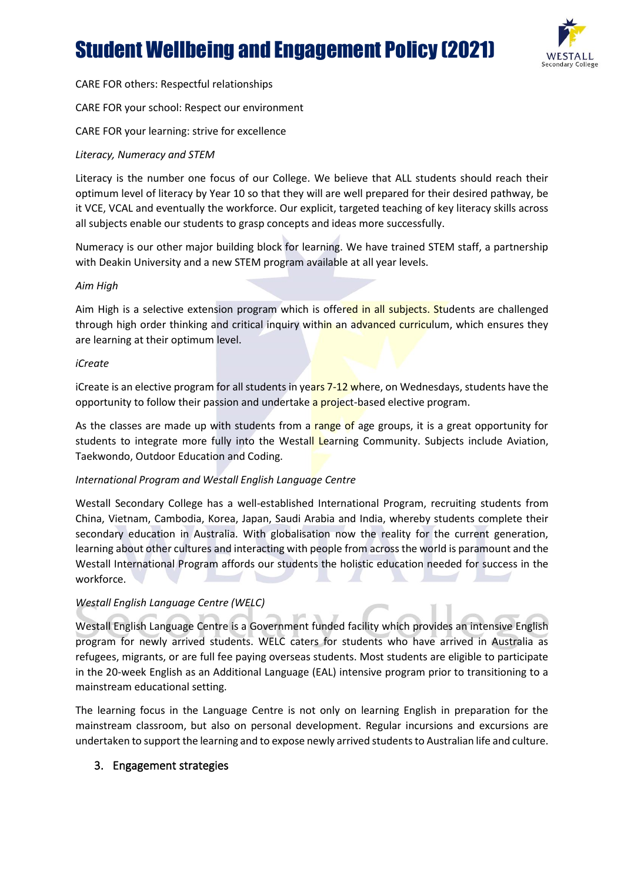

CARE FOR others: Respectful relationships

CARE FOR your school: Respect our environment

CARE FOR your learning: strive for excellence

#### *Literacy, Numeracy and STEM*

Literacy is the number one focus of our College. We believe that ALL students should reach their optimum level of literacy by Year 10 so that they will are well prepared for their desired pathway, be it VCE, VCAL and eventually the workforce. Our explicit, targeted teaching of key literacy skills across all subjects enable our students to grasp concepts and ideas more successfully.

Numeracy is our other major building block for learning. We have trained STEM staff, a partnership with Deakin University and a new STEM program available at all year levels.

#### *Aim High*

Aim High is a selective extension program which is offered in all subjects. Students are challenged through high order thinking and critical inquiry within an advanced curriculum, which ensures they are learning at their optimum level.

#### *iCreate*

iCreate is an elective program for all students in years 7-12 where, on Wednesdays, students have the opportunity to follow their passion and undertake a project-based elective program.

As the classes are made up with students from a range of age groups, it is a great opportunity for students to integrate more fully into the Westall Learning Community. Subjects include Aviation, Taekwondo, Outdoor Education and Coding.

#### *International Program and Westall English Language Centre*

Westall Secondary College has a well-established International Program, recruiting students from China, Vietnam, Cambodia, Korea, Japan, Saudi Arabia and India, whereby students complete their secondary education in Australia. With globalisation now the reality for the current generation, learning about other cultures and interacting with people from across the world is paramount and the Westall International Program affords our students the holistic education needed for success in the workforce.

#### *Westall English Language Centre (WELC)*

Westall English Language Centre is a Government funded facility which provides an intensive English program for newly arrived students. WELC caters for students who have arrived in Australia as refugees, migrants, or are full fee paying overseas students. Most students are eligible to participate in the 20-week English as an Additional Language (EAL) intensive program prior to transitioning to a mainstream educational setting.

The learning focus in the Language Centre is not only on learning English in preparation for the mainstream classroom, but also on personal development. Regular incursions and excursions are undertaken to support the learning and to expose newly arrived students to Australian life and culture.

#### 3. Engagement strategies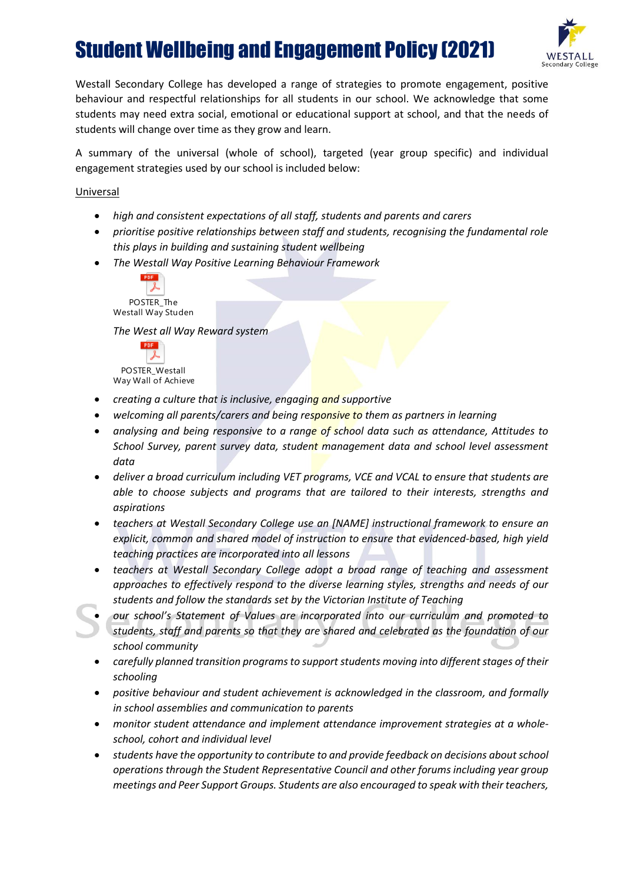

Westall Secondary College has developed a range of strategies to promote engagement, positive behaviour and respectful relationships for all students in our school. We acknowledge that some students may need extra social, emotional or educational support at school, and that the needs of students will change over time as they grow and learn.

A summary of the universal (whole of school), targeted (year group specific) and individual engagement strategies used by our school is included below:

Universal

- *high and consistent expectations of all staff, students and parents and carers*
- *prioritise positive relationships between staff and students, recognising the fundamental role this plays in building and sustaining student wellbeing*
- *The Westall Way Positive Learning Behaviour Framework*



*The West all Way Reward system* 



- *creating a culture that is inclusive, engaging and supportive*
- *welcoming all parents/carers and being responsive to them as partners in learning*
- *analysing and being responsive to a range of school data such as attendance, Attitudes to School Survey, parent survey data, student management data and school level assessment data*
- *deliver a broad curriculum including VET programs, VCE and VCAL to ensure that students are able to choose subjects and programs that are tailored to their interests, strengths and aspirations*
- *teachers at Westall Secondary College use an [NAME] instructional framework to ensure an explicit, common and shared model of instruction to ensure that evidenced-based, high yield teaching practices are incorporated into all lessons*
- *teachers at Westall Secondary College adopt a broad range of teaching and assessment approaches to effectively respond to the diverse learning styles, strengths and needs of our students and follow the standards set by the Victorian Institute of Teaching*
- *our school's Statement of Values are incorporated into our curriculum and promoted to students, staff and parents so that they are shared and celebrated as the foundation of our school community*
- *carefully planned transition programs to support students moving into different stages of their schooling*
- *positive behaviour and student achievement is acknowledged in the classroom, and formally in school assemblies and communication to parents*
- *monitor student attendance and implement attendance improvement strategies at a wholeschool, cohort and individual level*
- *students have the opportunity to contribute to and provide feedback on decisions aboutschool operations through the Student Representative Council and other forums including year group meetings and Peer Support Groups. Students are also encouraged to speak with their teachers,*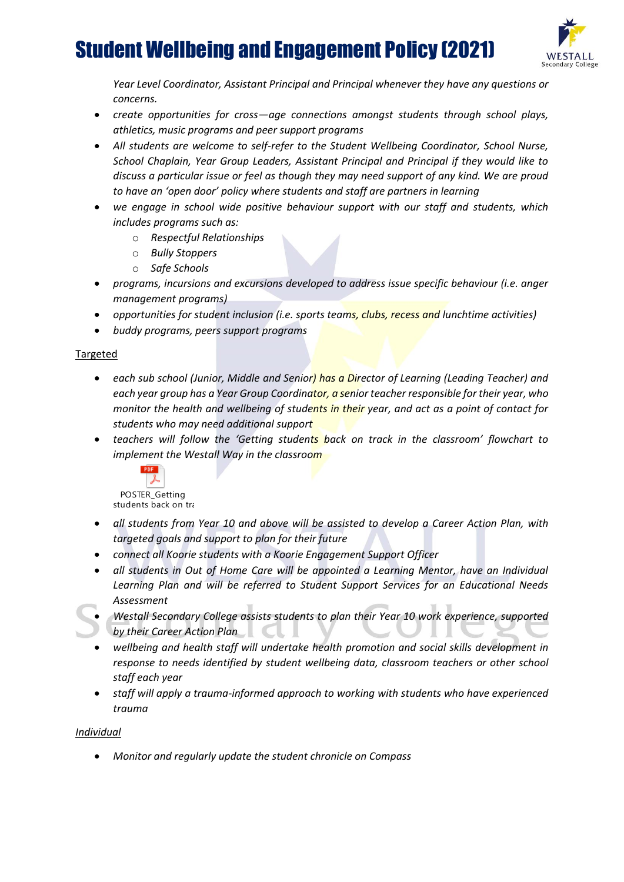

*Year Level Coordinator, Assistant Principal and Principal whenever they have any questions or concerns.*

- *create opportunities for cross—age connections amongst students through school plays, athletics, music programs and peer support programs*
- *All students are welcome to self-refer to the Student Wellbeing Coordinator, School Nurse, School Chaplain, Year Group Leaders, Assistant Principal and Principal if they would like to discuss a particular issue or feel as though they may need support of any kind. We are proud to have an 'open door' policy where students and staff are partners in learning*
- *we engage in school wide positive behaviour support with our staff and students, which includes programs such as:*
	- o *Respectful Relationships*
	- o *Bully Stoppers*
	- o *Safe Schools*
- *programs, incursions and excursions developed to address issue specific behaviour (i.e. anger management programs)*
- *opportunities for student inclusion (i.e. sports teams, clubs, recess and lunchtime activities)*
- *buddy programs, peers support programs*

#### Targeted

- *each sub school (Junior, Middle and Senior) has a Director of Learning (Leading Teacher) and each year group has a Year Group Coordinator, a senior teacher responsible for their year, who monitor the health and wellbeing of students in their year, and act as a point of contact for students who may need additional support*
- *teachers will follow the 'Getting students back on track in the classroom' flowchart to implement the Westall Way in the classroom*



POSTER\_Getting students back on tra

- *all students from Year 10 and above will be assisted to develop a Career Action Plan, with targeted goals and support to plan for their future*
- *connect all Koorie students with a Koorie Engagement Support Officer*
- *all students in Out of Home Care will be appointed a Learning Mentor, have an Individual Learning Plan and will be referred to Student Support Services for an Educational Needs Assessment*
- *Westall Secondary College assists students to plan their Year 10 work experience, supported by their Career Action Plan*
- *wellbeing and health staff will undertake health promotion and social skills development in response to needs identified by student wellbeing data, classroom teachers or other school staff each year*
- *staff will apply a trauma-informed approach to working with students who have experienced trauma*

#### *Individual*

• *Monitor and regularly update the student chronicle on Compass*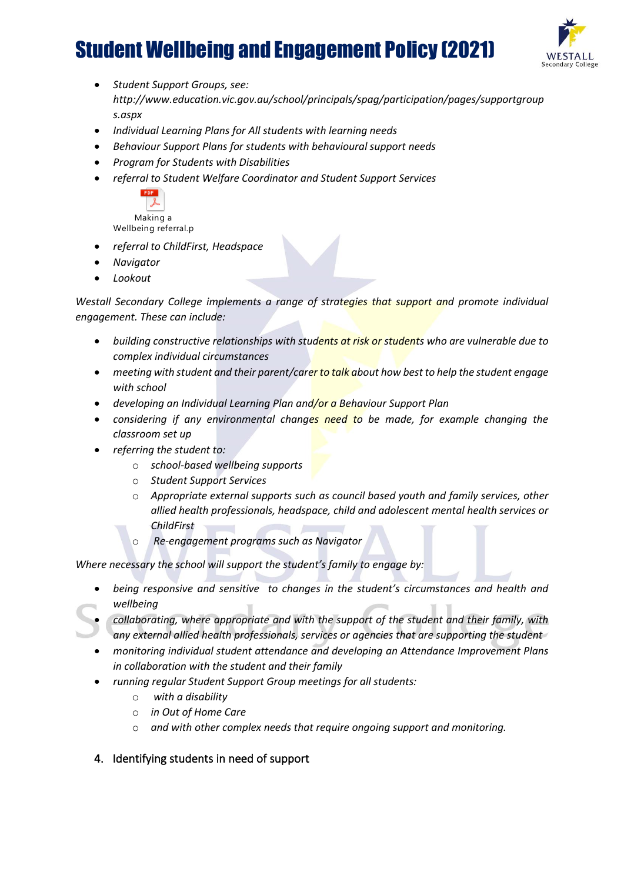

- *Student Support Groups, see: http://www.education.vic.gov.au/school/principals/spag/participation/pages/supportgroup s.aspx*
- *Individual Learning Plans for All students with learning needs*
- *Behaviour Support Plans for students with behavioural support needs*
- *Program for Students with Disabilities*
- *referral to Student Welfare Coordinator and Student Support Services*



Making a Wellbeing referral.p

- *referral to ChildFirst, Headspace*
- *Navigator*
- *Lookout*

*Westall Secondary College implements a range of strategies that support and promote individual engagement. These can include:*

- *building constructive relationships with students at risk or students who are vulnerable due to complex individual circumstances*
- *meeting with student and their parent/carer to talk about how best to help the student engage with school*
- *developing an Individual Learning Plan and/or a Behaviour Support Plan*
- *considering if any environmental changes need to be made, for example changing the classroom set up*
- *referring the student to:*
	- o *school-based wellbeing supports*
	- o *Student Support Services*
	- o *Appropriate external supports such as council based youth and family services, other allied health professionals, headspace, child and adolescent mental health services or ChildFirst*  $\mathbf{r}$
	- o *Re-engagement programs such as Navigator*

*Where necessary the school will support the student's family to engage by:*

- *being responsive and sensitive to changes in the student's circumstances and health and wellbeing*
- *collaborating, where appropriate and with the support of the student and their family, with any external allied health professionals, services or agencies that are supporting the student*
	- *monitoring individual student attendance and developing an Attendance Improvement Plans in collaboration with the student and their family*
- *running regular Student Support Group meetings for all students:*
	- o *with a disability*
	- o *in Out of Home Care*
	- o *and with other complex needs that require ongoing support and monitoring.*
- 4. Identifying students in need of support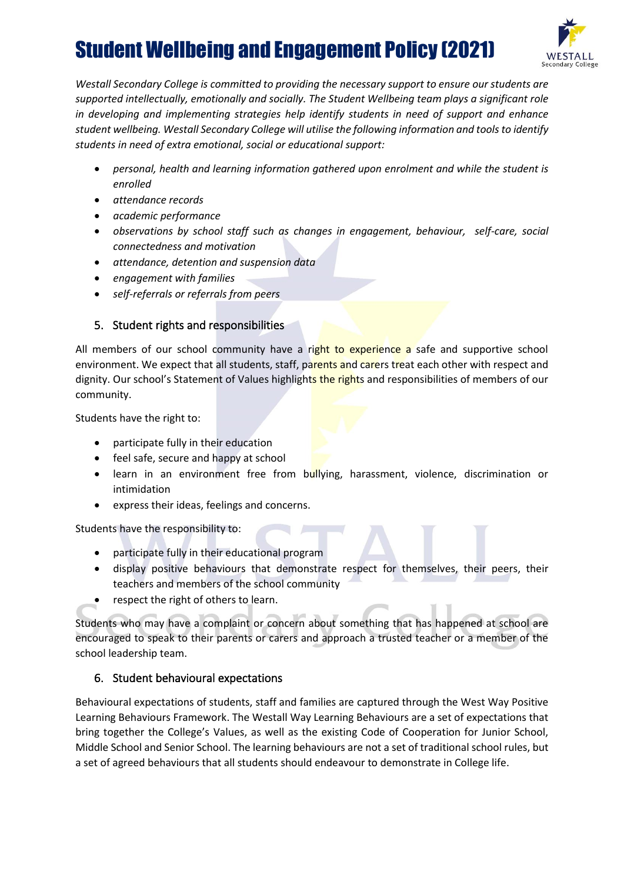

*Westall Secondary College is committed to providing the necessary support to ensure our students are supported intellectually, emotionally and socially. The Student Wellbeing team plays a significant role in developing and implementing strategies help identify students in need of support and enhance student wellbeing. Westall Secondary College will utilise the following information and tools to identify students in need of extra emotional, social or educational support:*

- *personal, health and learning information gathered upon enrolment and while the student is enrolled*
- *attendance records*
- *academic performance*
- *observations by school staff such as changes in engagement, behaviour, self-care, social connectedness and motivation*
- *attendance, detention and suspension data*
- *engagement with families*
- *self-referrals or referrals from peers*

## 5. Student rights and responsibilities

All members of our school community have a right to experience a safe and supportive school environment. We expect that all students, staff, parents and carers treat each other with respect and dignity. Our school's Statement of Values highlights the rights and responsibilities of members of our community.

Students have the right to:

- participate fully in their education
- feel safe, secure and happy at school
- learn in an environment free from bullying, harassment, violence, discrimination or intimidation
- express their ideas, feelings and concerns.

Students have the responsibility to:

- participate fully in their educational program
- display positive behaviours that demonstrate respect for themselves, their peers, their teachers and members of the school community
- respect the right of others to learn.

Students who may have a complaint or concern about something that has happened at school are encouraged to speak to their parents or carers and approach a trusted teacher or a member of the school leadership team.

## 6. Student behavioural expectations

Behavioural expectations of students, staff and families are captured through the West Way Positive Learning Behaviours Framework. The Westall Way Learning Behaviours are a set of expectations that bring together the College's Values, as well as the existing Code of Cooperation for Junior School, Middle School and Senior School. The learning behaviours are not a set of traditional school rules, but a set of agreed behaviours that all students should endeavour to demonstrate in College life.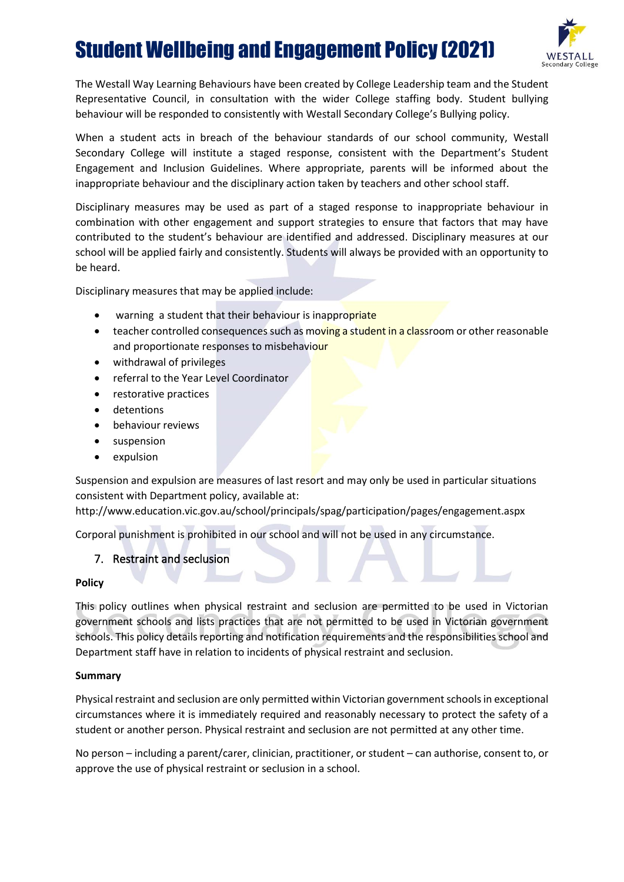

The Westall Way Learning Behaviours have been created by College Leadership team and the Student Representative Council, in consultation with the wider College staffing body. Student bullying behaviour will be responded to consistently with Westall Secondary College's Bullying policy.

When a student acts in breach of the behaviour standards of our school community, Westall Secondary College will institute a staged response, consistent with the Department's Student Engagement and Inclusion Guidelines. Where appropriate, parents will be informed about the inappropriate behaviour and the disciplinary action taken by teachers and other school staff.

Disciplinary measures may be used as part of a staged response to inappropriate behaviour in combination with other engagement and support strategies to ensure that factors that may have contributed to the student's behaviour are identified and addressed. Disciplinary measures at our school will be applied fairly and consistently. Students will always be provided with an opportunity to be heard.

Disciplinary measures that may be applied include:

- warning a student that their behaviour is inappropriate
- teacher controlled consequences such as moving a student in a classroom or other reasonable and proportionate responses to misbehaviour
- withdrawal of privileges
- referral to the Year Level Coordinator
- restorative practices
- detentions
- behaviour reviews
- suspension
- expulsion

Suspension and expulsion are measures of last resort and may only be used in particular situations consistent with Department policy, available at:

http://www.education.vic.gov.au/school/principals/spag/participation/pages/engagement.aspx

Corporal punishment is prohibited in our school and will not be used in any circumstance.

## 7. Restraint and seclusion

#### **Policy**

This policy outlines when physical restraint and seclusion are permitted to be used in Victorian government schools and lists practices that are not permitted to be used in Victorian government schools. This policy details reporting and notification requirements and the responsibilities school and Department staff have in relation to incidents of physical restraint and seclusion.

#### **Summary**

Physical restraint and seclusion are only permitted within Victorian government schools in exceptional circumstances where it is immediately required and reasonably necessary to protect the safety of a student or another person. Physical restraint and seclusion are not permitted at any other time.

No person – including a parent/carer, clinician, practitioner, or student – can authorise, consent to, or approve the use of physical restraint or seclusion in a school.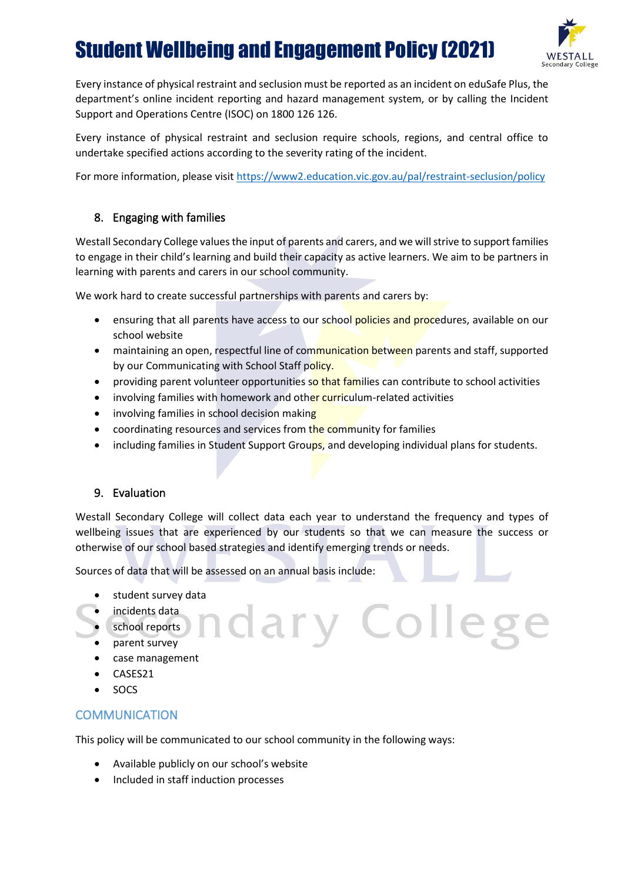

Every instance of physical restraint and seclusion must be reported as an incident on eduSafe Plus, the department's online incident reporting and hazard management system, or by calling the Incident Support and Operations Centre (ISOC) on 1800 126 126.

Every instance of physical restraint and seclusion require schools, regions, and central office to undertake specified actions according to the severity rating of the incident.

For more information, please visi[t https://www2.education.vic.gov.au/pal/restraint-seclusion/policy](https://www2.education.vic.gov.au/pal/restraint-seclusion/policy)

## 8. Engaging with families

Westall Secondary College values the input of parents and carers, and we will strive to support families to engage in their child's learning and build their capacity as active learners. We aim to be partners in learning with parents and carers in our school community.

We work hard to create successful partnerships with parents and carers by:

- ensuring that all parents have access to our school policies and procedures, available on our school website
- maintaining an open, respectful line of communication between parents and staff, supported by our Communicating with School Staff policy.
- providing parent volunteer opportunities so that families can contribute to school activities
- involving families with homework and other curriculum-related activities
- involving families in school decision making
- coordinating resources and services from the community for families
- including families in Student Support Groups, and developing individual plans for students.

## 9. Evaluation

Westall Secondary College will collect data each year to understand the frequency and types of wellbeing issues that are experienced by our students so that we can measure the success or otherwise of our school based strategies and identify emerging trends or needs.

dary Colleg

Sources of data that will be assessed on an annual basis include:

- student survey data
- incidents data
- school reports
- parent survey
- case management
- CASES21
- SOCS

## **COMMUNICATION**

This policy will be communicated to our school community in the following ways:

- Available publicly on our school's website
- Included in staff induction processes